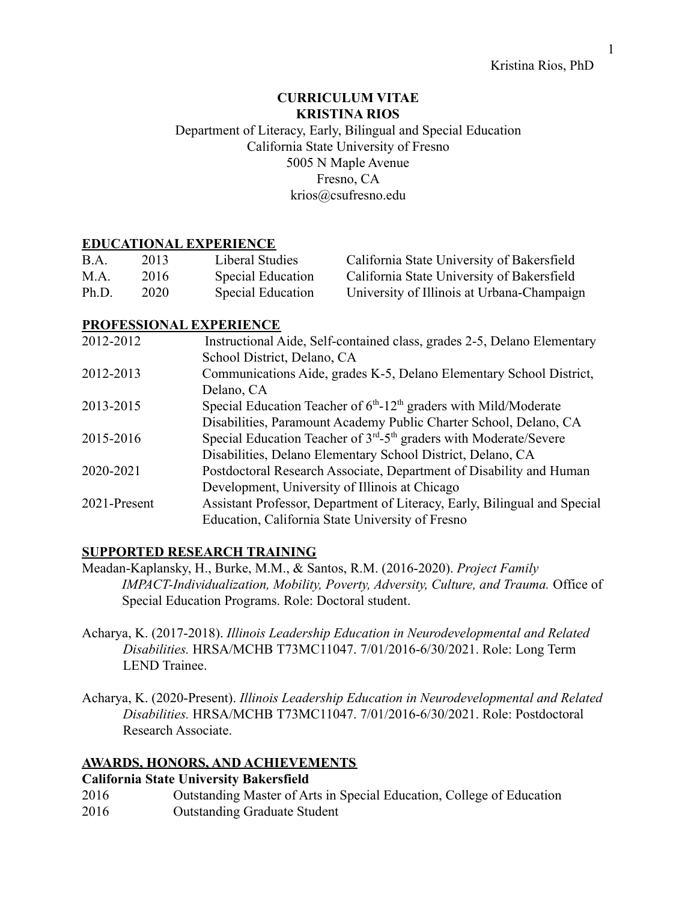## **CURRICULUM VITAE KRISTINA RIOS**

## Department of Literacy, Early, Bilingual and Special Education California State University of Fresno 5005 N Maple Avenue Fresno, CA [krios@csufresno.edu](mailto:krios@csufresno.edu)

## **EDUCATIONAL EXPERIENCE**

| B.A.  | 2013. | Liberal Studies   | California State University of Bakersfield |
|-------|-------|-------------------|--------------------------------------------|
| M.A.  | 2016  | Special Education | California State University of Bakersfield |
| Ph.D. | 2020  | Special Education | University of Illinois at Urbana-Champaign |

## **PROFESSIONAL EXPERIENCE**

| 2012-2012    | Instructional Aide, Self-contained class, grades 2-5, Delano Elementary         |
|--------------|---------------------------------------------------------------------------------|
|              | School District, Delano, CA                                                     |
| 2012-2013    | Communications Aide, grades K-5, Delano Elementary School District,             |
|              | Delano, CA                                                                      |
| 2013-2015    | Special Education Teacher of $6th$ -12 <sup>th</sup> graders with Mild/Moderate |
|              | Disabilities, Paramount Academy Public Charter School, Delano, CA               |
| 2015-2016    | Special Education Teacher of $3rd - 5th$ graders with Moderate/Severe           |
|              | Disabilities, Delano Elementary School District, Delano, CA                     |
| 2020-2021    | Postdoctoral Research Associate, Department of Disability and Human             |
|              | Development, University of Illinois at Chicago                                  |
| 2021-Present | Assistant Professor, Department of Literacy, Early, Bilingual and Special       |
|              | Education, California State University of Fresno                                |

## **SUPPORTED RESEARCH TRAINING**

- Meadan-Kaplansky, H., Burke, M.M., & Santos, R.M. (2016-2020). *Project Family IMPACT-Individualization, Mobility, Poverty, Adversity, Culture, and Trauma.* Office of Special Education Programs. Role: Doctoral student.
- Acharya, K. (2017-2018). *Illinois Leadership Education in Neurodevelopmental and Related Disabilities.* HRSA/MCHB T73MC11047. 7/01/2016-6/30/2021. Role: Long Term LEND Trainee.
- Acharya, K. (2020-Present). *Illinois Leadership Education in Neurodevelopmental and Related Disabilities.* HRSA/MCHB T73MC11047. 7/01/2016-6/30/2021. Role: Postdoctoral Research Associate.

## **AWARDS, HONORS, AND ACHIEVEMENTS**

## **California State University Bakersfield**

2016 Outstanding Master of Arts in Special Education, College of Education 2016 Outstanding Graduate Student

1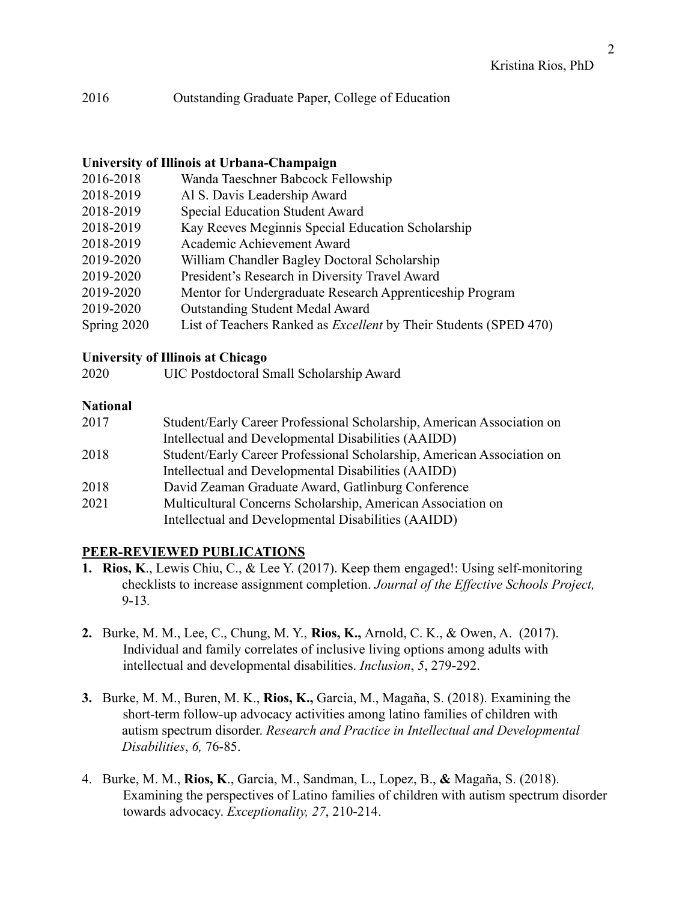## 2016 Outstanding Graduate Paper, College of Education

#### **University of Illinois at Urbana-Champaign**

- 2016-2018 Wanda Taeschner Babcock Fellowship
- 2018-2019 Al S. Davis Leadership Award
- 2018-2019 Special Education Student Award
- 2018-2019 Kay Reeves Meginnis Special Education Scholarship
- 2018-2019 Academic Achievement Award
- 2019-2020 William Chandler Bagley Doctoral Scholarship
- 2019-2020 President's Research in Diversity Travel Award
- 2019-2020 Mentor for Undergraduate Research Apprenticeship Program
- 2019-2020 Outstanding Student Medal Award
- Spring 2020 List of Teachers Ranked as *Excellent* by Their Students (SPED 470)

#### **University of Illinois at Chicago**

2020 UIC Postdoctoral Small Scholarship Award

#### **National**

| 2017 | Student/Early Career Professional Scholarship, American Association on |
|------|------------------------------------------------------------------------|
|      | Intellectual and Developmental Disabilities (AAIDD)                    |
| 2018 | Student/Early Career Professional Scholarship, American Association on |
|      | Intellectual and Developmental Disabilities (AAIDD)                    |
| 2018 | David Zeaman Graduate Award, Gatlinburg Conference                     |
| 2021 | Multicultural Concerns Scholarship, American Association on            |
|      | Intellectual and Developmental Disabilities (AAIDD)                    |

## **PEER-REVIEWED PUBLICATIONS**

- **1. Rios, K**., Lewis Chiu, C., & Lee Y. (2017). Keep them engaged!: Using self-monitoring checklists to increase assignment completion. *Journal of the Effective Schools Project,* 9-13*.*
- **2.** Burke, M. M., Lee, C., Chung, M. Y., **Rios, K.,** Arnold, C. K., & Owen, A. (2017). Individual and family correlates of inclusive living options among adults with intellectual and developmental disabilities. *Inclusion*, *5*, 279-292.
- **3.** Burke, M. M., Buren, M. K., **Rios, K.,** Garcia, M., Magaña, S. (2018). Examining the short-term follow-up advocacy activities among latino families of children with autism spectrum disorder. *Research and Practice in Intellectual and Developmental Disabilities*, *6,* 76-85.
- 4. Burke, M. M., **Rios, K**., Garcia, M., Sandman, L., Lopez, B., **&** Magaña, S. (2018). Examining the perspectives of Latino families of children with autism spectrum disorder towards advocacy. *Exceptionality, 27*, 210-214.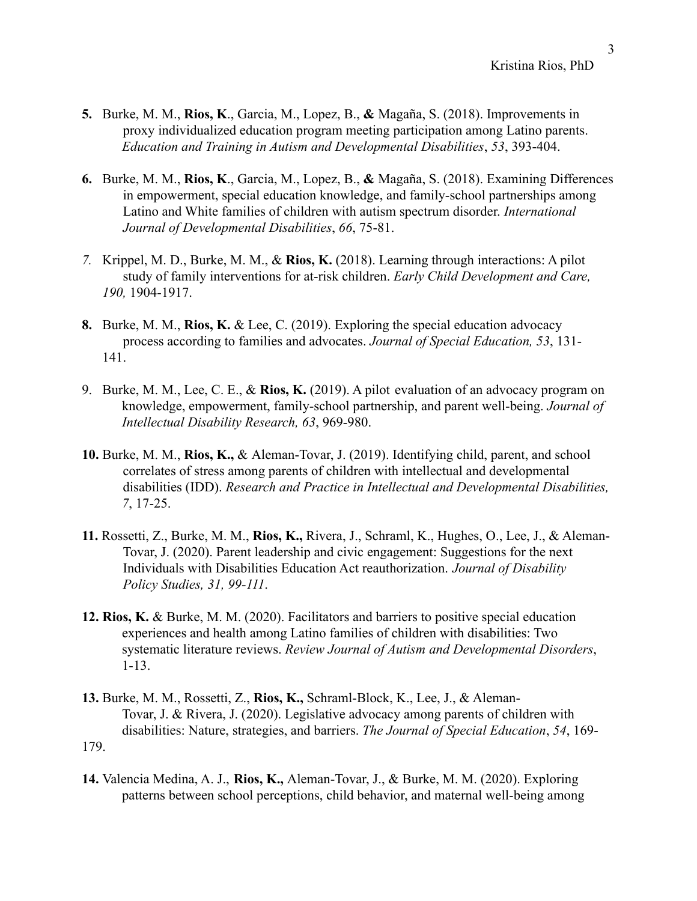- **5.** Burke, M. M., **Rios, K**., Garcia, M., Lopez, B., **&** Magaña, S. (2018). Improvements in proxy individualized education program meeting participation among Latino parents. *Education and Training in Autism and Developmental Disabilities*, *53*, 393-404.
- **6.** Burke, M. M., **Rios, K**., Garcia, M., Lopez, B., **&** Magaña, S. (2018). Examining Differences in empowerment, special education knowledge, and family-school partnerships among Latino and White families of children with autism spectrum disorder. *International Journal of Developmental Disabilities*, *66*, 75-81.
- *7.* Krippel, M. D., Burke, M. M., & **Rios, K.** (2018). Learning through interactions: A pilot study of family interventions for at-risk children. *Early Child Development and Care, 190,* 1904-1917.
- **8.** Burke, M. M., **Rios, K.** & Lee, C. (2019). Exploring the special education advocacy process according to families and advocates. *Journal of Special Education, 53*, 131- 141.
- 9. Burke, M. M., Lee, C. E., & **Rios, K.** (2019). A pilot evaluation of an advocacy program on knowledge, empowerment, family-school partnership, and parent well-being. *Journal of Intellectual Disability Research, 63*, 969-980.
- **10.** Burke, M. M., **Rios, K.,** & Aleman-Tovar, J. (2019). Identifying child, parent, and school correlates of stress among parents of children with intellectual and developmental disabilities (IDD). *Research and Practice in Intellectual and Developmental Disabilities, 7*, 17-25.
- **11.** Rossetti, Z., Burke, M. M., **Rios, K.,** Rivera, J., Schraml, K., Hughes, O., Lee, J., & Aleman-Tovar, J. (2020). Parent leadership and civic engagement: Suggestions for the next Individuals with Disabilities Education Act reauthorization. *Journal of Disability Policy Studies, 31, 99-111*.
- **12. Rios, K.** & Burke, M. M. (2020). Facilitators and barriers to positive special education experiences and health among Latino families of children with disabilities: Two systematic literature reviews. *Review Journal of Autism and Developmental Disorders*, 1-13.
- **13.** Burke, M. M., Rossetti, Z., **Rios, K.,** Schraml-Block, K., Lee, J., & Aleman-Tovar, J. & Rivera, J. (2020). Legislative advocacy among parents of children with disabilities: Nature, strategies, and barriers. *The Journal of Special Education*, *54*, 169- 179.
- **14.** Valencia Medina, A. J., **Rios, K.,** Aleman-Tovar, J., & Burke, M. M. (2020). Exploring patterns between school perceptions, child behavior, and maternal well-being among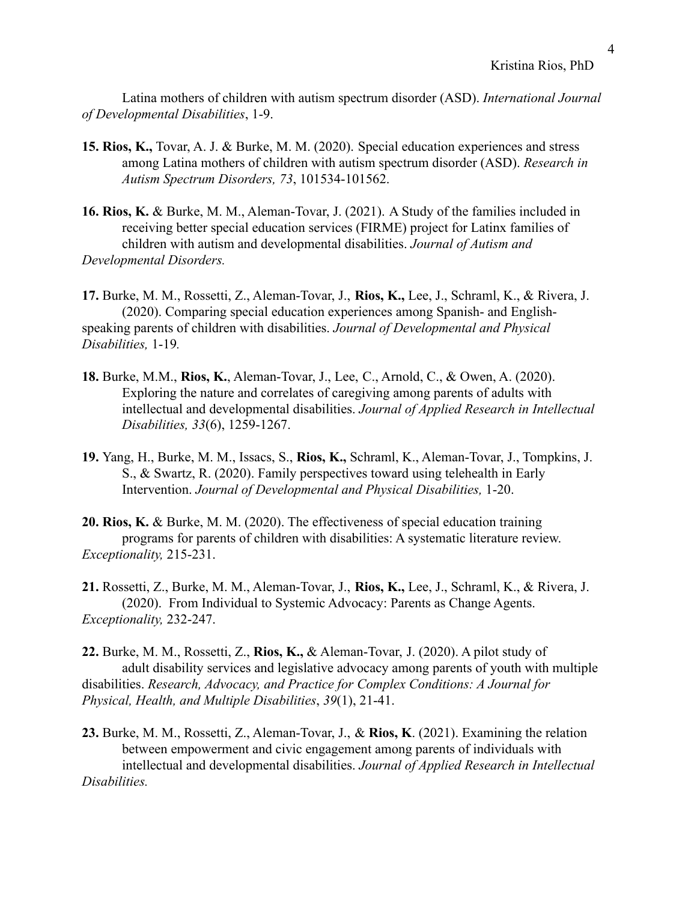Latina mothers of children with autism spectrum disorder (ASD). *International Journal of Developmental Disabilities*, 1-9.

- **15. Rios, K.,** Tovar, A. J. & Burke, M. M. (2020). Special education experiences and stress among Latina mothers of children with autism spectrum disorder (ASD). *Research in Autism Spectrum Disorders, 73*, 101534-101562.
- **16. Rios, K.** & Burke, M. M., Aleman-Tovar, J. (2021). A Study of the families included in receiving better special education services (FIRME) project for Latinx families of children with autism and developmental disabilities. *Journal of Autism and Developmental Disorders.*

**17.** Burke, M. M., Rossetti, Z., Aleman-Tovar, J., **Rios, K.,** Lee, J., Schraml, K., & Rivera, J. (2020). Comparing special education experiences among Spanish- and Englishspeaking parents of children with disabilities. *Journal of Developmental and Physical Disabilities,* 1-19*.*

- **18.** Burke, M.M., **Rios, K.**, Aleman-Tovar, J., Lee, C., Arnold, C., & Owen, A. (2020). Exploring the nature and correlates of caregiving among parents of adults with intellectual and developmental disabilities. *Journal of Applied Research in Intellectual Disabilities, 33*(6), 1259-1267.
- **19.** Yang, H., Burke, M. M., Issacs, S., **Rios, K.,** Schraml, K., Aleman-Tovar, J., Tompkins, J. S., & Swartz, R. (2020). Family perspectives toward using telehealth in Early Intervention. *Journal of Developmental and Physical Disabilities,* 1-20.
- **20. Rios, K.** & Burke, M. M. (2020). The effectiveness of special education training programs for parents of children with disabilities: A systematic literature review. *Exceptionality,* 215-231.

**21.** Rossetti, Z., Burke, M. M., Aleman-Tovar, J., **Rios, K.,** Lee, J., Schraml, K., & Rivera, J. (2020). From Individual to Systemic Advocacy: Parents as Change Agents. *Exceptionality,* 232-247.

**22.** Burke, M. M., Rossetti, Z., **Rios, K.,** & Aleman-Tovar, J. (2020). A pilot study of adult disability services and legislative advocacy among parents of youth with multiple disabilities. *Research, Advocacy, and Practice for Complex Conditions: A Journal for Physical, Health, and Multiple Disabilities*, *39*(1), 21-41.

**23.** Burke, M. M., Rossetti, Z., Aleman-Tovar, J., & **Rios, K**. (2021). Examining the relation between empowerment and civic engagement among parents of individuals with intellectual and developmental disabilities. *Journal of Applied Research in Intellectual Disabilities.*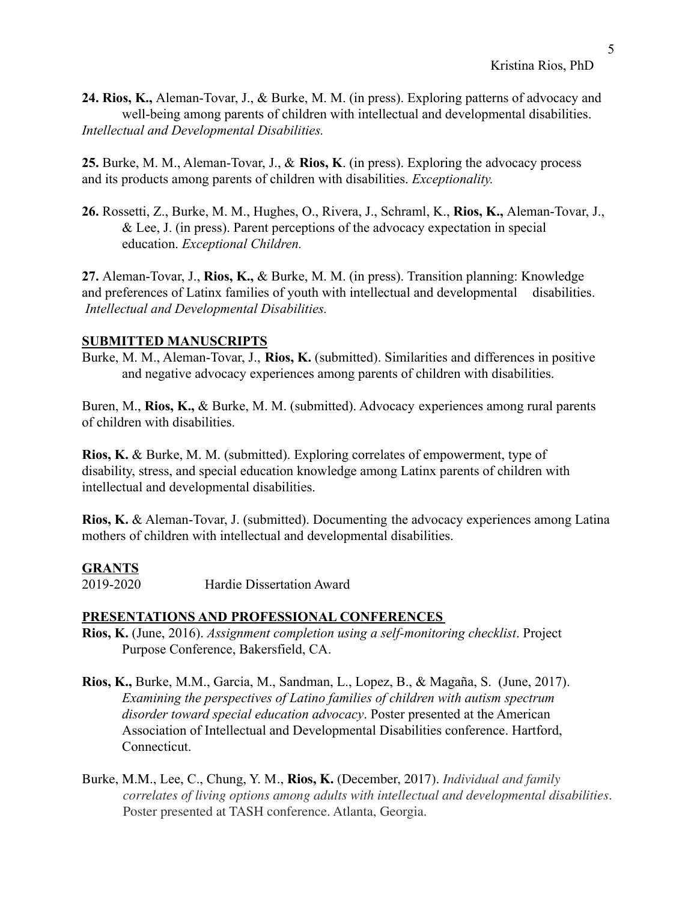**24. Rios, K.,** Aleman-Tovar, J., & Burke, M. M. (in press). Exploring patterns of advocacy and well-being among parents of children with intellectual and developmental disabilities. *Intellectual and Developmental Disabilities.*

**25.** Burke, M. M., Aleman-Tovar, J., & **Rios, K**. (in press). Exploring the advocacy process and its products among parents of children with disabilities. *Exceptionality.*

**26.** Rossetti, Z., Burke, M. M., Hughes, O., Rivera, J., Schraml, K., **Rios, K.,** Aleman-Tovar, J., & Lee, J. (in press). Parent perceptions of the advocacy expectation in special education. *Exceptional Children.*

**27.** Aleman-Tovar, J., **Rios, K.,** & Burke, M. M. (in press). Transition planning: Knowledge and preferences of Latinx families of youth with intellectual and developmental disabilities. *Intellectual and Developmental Disabilities.*

#### **SUBMITTED MANUSCRIPTS**

Burke, M. M., Aleman-Tovar, J., **Rios, K.** (submitted). Similarities and differences in positive and negative advocacy experiences among parents of children with disabilities.

Buren, M., **Rios, K.,** & Burke, M. M. (submitted). Advocacy experiences among rural parents of children with disabilities.

**Rios, K.** & Burke, M. M. (submitted). Exploring correlates of empowerment, type of disability, stress, and special education knowledge among Latinx parents of children with intellectual and developmental disabilities.

**Rios, K.** & Aleman-Tovar, J. (submitted). Documenting the advocacy experiences among Latina mothers of children with intellectual and developmental disabilities.

#### **GRANTS**

2019-2020 Hardie Dissertation Award

## **PRESENTATIONS AND PROFESSIONAL CONFERENCES**

- **Rios, K.** (June, 2016). *Assignment completion using a self-monitoring checklist*. Project Purpose Conference, Bakersfield, CA.
- **Rios, K.,** Burke, M.M., Garcia, M., Sandman, L., Lopez, B., & Magaña, S. (June, 2017). *Examining the perspectives of Latino families of children with autism spectrum disorder toward special education advocacy*. Poster presented at the American Association of Intellectual and Developmental Disabilities conference. Hartford, Connecticut.
- Burke, M.M., Lee, C., Chung, Y. M., **Rios, K.** (December, 2017). *Individual and family correlates of living options among adults with intellectual and developmental disabilities*. Poster presented at TASH conference. Atlanta, Georgia.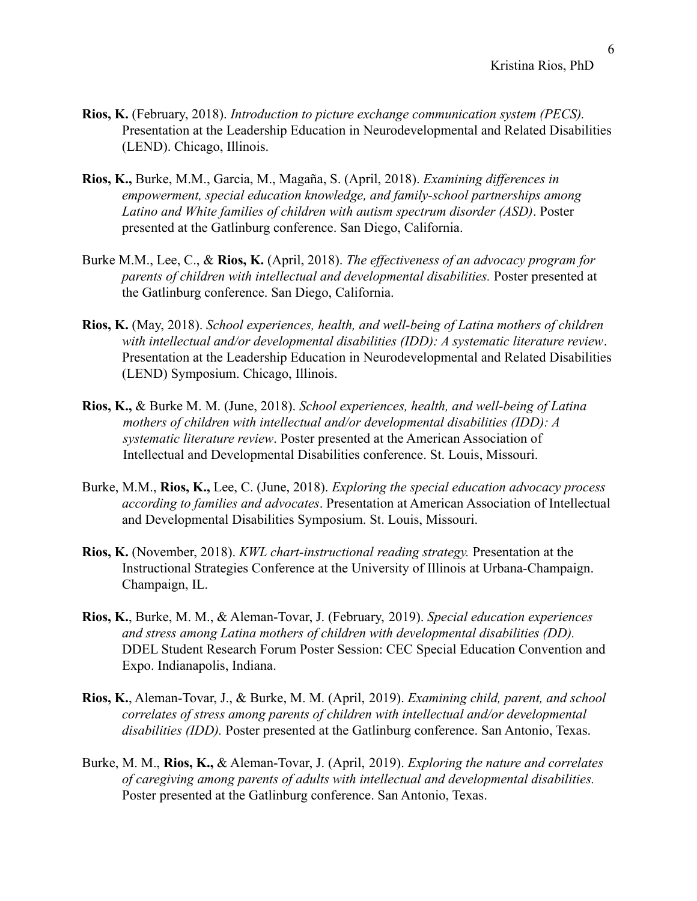- **Rios, K.** (February, 2018). *Introduction to picture exchange communication system (PECS).* Presentation at the Leadership Education in Neurodevelopmental and Related Disabilities (LEND). Chicago, Illinois.
- **Rios, K.,** Burke, M.M., Garcia, M., Magaña, S. (April, 2018). *Examining differences in empowerment, special education knowledge, and family-school partnerships among Latino and White families of children with autism spectrum disorder (ASD)*. Poster presented at the Gatlinburg conference. San Diego, California.
- Burke M.M., Lee, C., & **Rios, K.** (April, 2018). *The effectiveness of an advocacy program for parents of children with intellectual and developmental disabilities.* Poster presented at the Gatlinburg conference. San Diego, California.
- **Rios, K.** (May, 2018). *School experiences, health, and well-being of Latina mothers of children with intellectual and/or developmental disabilities (IDD): A systematic literature review*. Presentation at the Leadership Education in Neurodevelopmental and Related Disabilities (LEND) Symposium. Chicago, Illinois.
- **Rios, K.,** & Burke M. M. (June, 2018). *School experiences, health, and well-being of Latina mothers of children with intellectual and/or developmental disabilities (IDD): A systematic literature review*. Poster presented at the American Association of Intellectual and Developmental Disabilities conference. St. Louis, Missouri.
- Burke, M.M., **Rios, K.,** Lee, C. (June, 2018). *Exploring the special education advocacy process according to families and advocates*. Presentation at American Association of Intellectual and Developmental Disabilities Symposium. St. Louis, Missouri.
- **Rios, K.** (November, 2018). *KWL chart-instructional reading strategy.* Presentation at the Instructional Strategies Conference at the University of Illinois at Urbana-Champaign. Champaign, IL.
- **Rios, K.**, Burke, M. M., & Aleman-Tovar, J. (February, 2019). *Special education experiences and stress among Latina mothers of children with developmental disabilities (DD).* DDEL Student Research Forum Poster Session: CEC Special Education Convention and Expo. Indianapolis, Indiana.
- **Rios, K.**, Aleman-Tovar, J., & Burke, M. M. (April, 2019). *Examining child, parent, and school correlates of stress among parents of children with intellectual and/or developmental disabilities (IDD).* Poster presented at the Gatlinburg conference. San Antonio, Texas.
- Burke, M. M., **Rios, K.,** & Aleman-Tovar, J. (April, 2019). *Exploring the nature and correlates of caregiving among parents of adults with intellectual and developmental disabilities.* Poster presented at the Gatlinburg conference. San Antonio, Texas.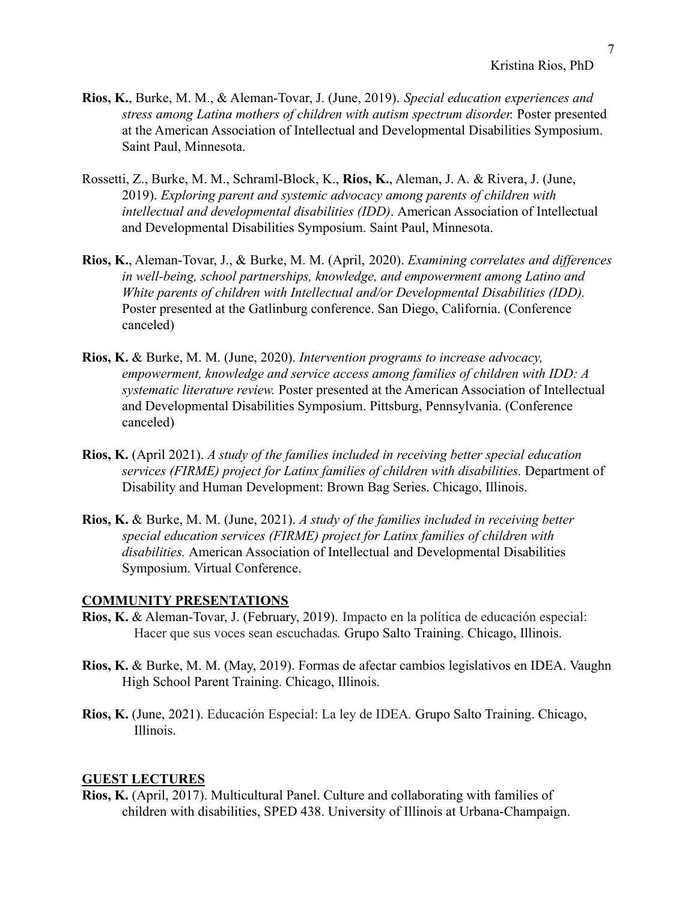- **Rios, K.**, Burke, M. M., & Aleman-Tovar, J. (June, 2019). *Special education experiences and stress among Latina mothers of children with autism spectrum disorder.* Poster presented at the American Association of Intellectual and Developmental Disabilities Symposium. Saint Paul, Minnesota.
- Rossetti, Z., Burke, M. M., Schraml-Block, K., **Rios, K.**, Aleman, J. A. & Rivera, J. (June, 2019). *Exploring parent and systemic advocacy among parents of children with intellectual and developmental disabilities (IDD)*. American Association of Intellectual and Developmental Disabilities Symposium. Saint Paul, Minnesota.
- **Rios, K.**, Aleman-Tovar, J., & Burke, M. M. (April, 2020). *Examining correlates and differences in well-being, school partnerships, knowledge, and empowerment among Latino and White parents of children with Intellectual and/or Developmental Disabilities (IDD).* Poster presented at the Gatlinburg conference. San Diego, California. (Conference canceled)
- **Rios, K.** & Burke, M. M. (June, 2020). *Intervention programs to increase advocacy, empowerment, knowledge and service access among families of children with IDD: A systematic literature review.* Poster presented at the American Association of Intellectual and Developmental Disabilities Symposium. Pittsburg, Pennsylvania. (Conference canceled)
- **Rios, K.** (April 2021). *A study of the families included in receiving better special education services (FIRME) project for Latinx families of children with disabilities.* Department of Disability and Human Development: Brown Bag Series. Chicago, Illinois.
- **Rios, K.** & Burke, M. M. (June, 2021). *A study of the families included in receiving better special education services (FIRME) project for Latinx families of children with disabilities.* American Association of Intellectual and Developmental Disabilities Symposium. Virtual Conference.

#### **COMMUNITY PRESENTATIONS**

- **Rios, K.** & Aleman-Tovar, J. (February, 2019). Impacto en la política de educación especial: Hacer que sus voces sean escuchadas*.* Grupo Salto Training. Chicago, Illinois.
- **Rios, K.** & Burke, M. M. (May, 2019). Formas de afectar cambios legislativos en IDEA. Vaughn High School Parent Training. Chicago, Illinois.
- **Rios, K.** (June, 2021). Educación Especial: La ley de IDEA*.* Grupo Salto Training. Chicago, Illinois.

#### **GUEST LECTURES**

**Rios, K.** (April, 2017). Multicultural Panel. Culture and collaborating with families of children with disabilities, SPED 438. University of Illinois at Urbana-Champaign.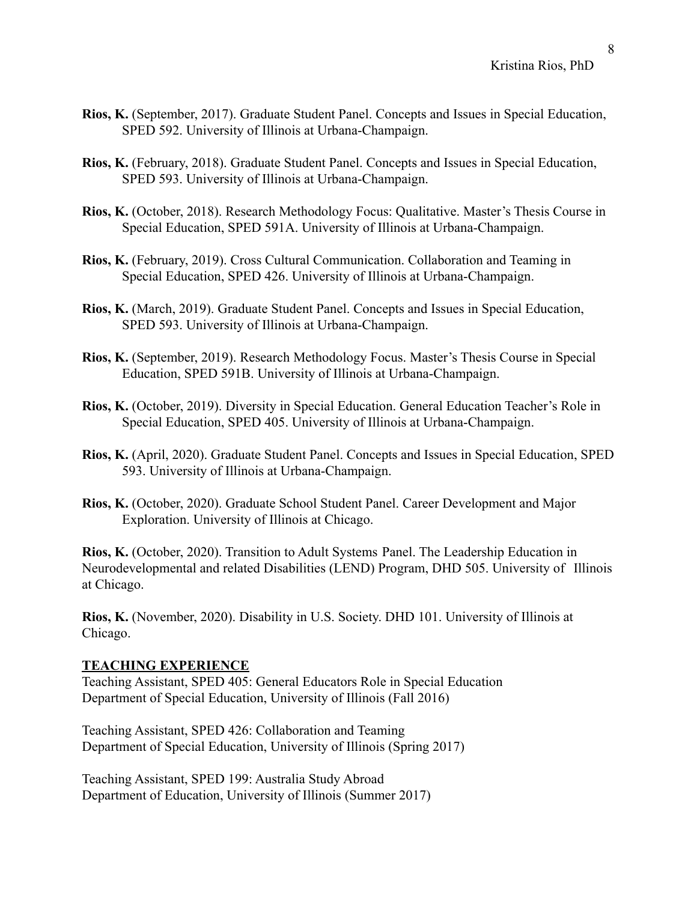- **Rios, K.** (September, 2017). Graduate Student Panel. Concepts and Issues in Special Education, SPED 592. University of Illinois at Urbana-Champaign.
- **Rios, K.** (February, 2018). Graduate Student Panel. Concepts and Issues in Special Education, SPED 593. University of Illinois at Urbana-Champaign.
- **Rios, K.** (October, 2018). Research Methodology Focus: Qualitative. Master's Thesis Course in Special Education, SPED 591A. University of Illinois at Urbana-Champaign.
- **Rios, K.** (February, 2019). Cross Cultural Communication. Collaboration and Teaming in Special Education, SPED 426. University of Illinois at Urbana-Champaign.
- **Rios, K.** (March, 2019). Graduate Student Panel. Concepts and Issues in Special Education, SPED 593. University of Illinois at Urbana-Champaign.
- **Rios, K.** (September, 2019). Research Methodology Focus. Master's Thesis Course in Special Education, SPED 591B. University of Illinois at Urbana-Champaign.
- **Rios, K.** (October, 2019). Diversity in Special Education. General Education Teacher's Role in Special Education, SPED 405. University of Illinois at Urbana-Champaign.
- **Rios, K.** (April, 2020). Graduate Student Panel. Concepts and Issues in Special Education, SPED 593. University of Illinois at Urbana-Champaign.
- **Rios, K.** (October, 2020). Graduate School Student Panel. Career Development and Major Exploration. University of Illinois at Chicago.

**Rios, K.** (October, 2020). Transition to Adult Systems Panel. The Leadership Education in Neurodevelopmental and related Disabilities (LEND) Program, DHD 505. University of Illinois at Chicago.

**Rios, K.** (November, 2020). Disability in U.S. Society. DHD 101. University of Illinois at Chicago.

#### **TEACHING EXPERIENCE**

Teaching Assistant, SPED 405: General Educators Role in Special Education Department of Special Education, University of Illinois (Fall 2016)

Teaching Assistant, SPED 426: Collaboration and Teaming Department of Special Education, University of Illinois (Spring 2017)

Teaching Assistant, SPED 199: Australia Study Abroad Department of Education, University of Illinois (Summer 2017)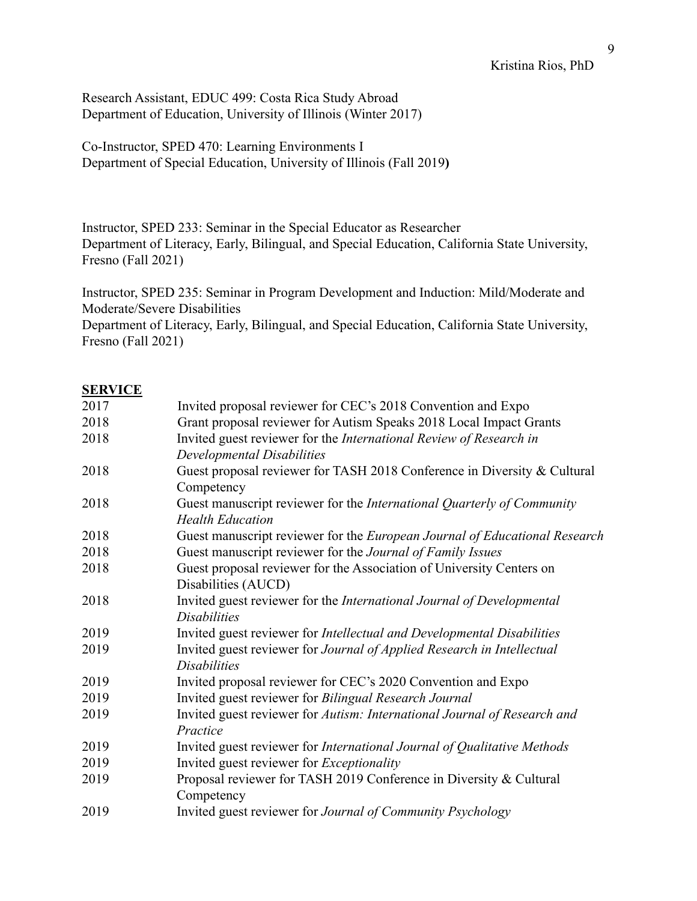Research Assistant, EDUC 499: Costa Rica Study Abroad Department of Education, University of Illinois (Winter 2017)

Co-Instructor, SPED 470: Learning Environments I Department of Special Education, University of Illinois (Fall 2019**)**

Instructor, SPED 233: Seminar in the Special Educator as Researcher Department of Literacy, Early, Bilingual, and Special Education, California State University, Fresno (Fall 2021)

Instructor, SPED 235: Seminar in Program Development and Induction: Mild/Moderate and Moderate/Severe Disabilities

Department of Literacy, Early, Bilingual, and Special Education, California State University, Fresno (Fall 2021)

## **SERVICE**

| 2017 | Invited proposal reviewer for CEC's 2018 Convention and Expo                  |
|------|-------------------------------------------------------------------------------|
| 2018 | Grant proposal reviewer for Autism Speaks 2018 Local Impact Grants            |
| 2018 | Invited guest reviewer for the <i>International Review of Research in</i>     |
|      | Developmental Disabilities                                                    |
| 2018 | Guest proposal reviewer for TASH 2018 Conference in Diversity & Cultural      |
|      | Competency                                                                    |
| 2018 | Guest manuscript reviewer for the International Quarterly of Community        |
|      | <b>Health Education</b>                                                       |
| 2018 | Guest manuscript reviewer for the European Journal of Educational Research    |
| 2018 | Guest manuscript reviewer for the Journal of Family Issues                    |
| 2018 | Guest proposal reviewer for the Association of University Centers on          |
|      | Disabilities (AUCD)                                                           |
| 2018 | Invited guest reviewer for the International Journal of Developmental         |
|      | <b>Disabilities</b>                                                           |
| 2019 | Invited guest reviewer for <i>Intellectual and Developmental Disabilities</i> |
| 2019 | Invited guest reviewer for Journal of Applied Research in Intellectual        |
|      | <i>Disabilities</i>                                                           |
| 2019 | Invited proposal reviewer for CEC's 2020 Convention and Expo                  |
| 2019 | Invited guest reviewer for Bilingual Research Journal                         |
| 2019 | Invited guest reviewer for Autism: International Journal of Research and      |
|      | Practice                                                                      |
| 2019 | Invited guest reviewer for International Journal of Qualitative Methods       |
| 2019 | Invited guest reviewer for <i>Exceptionality</i>                              |
| 2019 | Proposal reviewer for TASH 2019 Conference in Diversity & Cultural            |
|      | Competency                                                                    |
| 2019 | Invited guest reviewer for Journal of Community Psychology                    |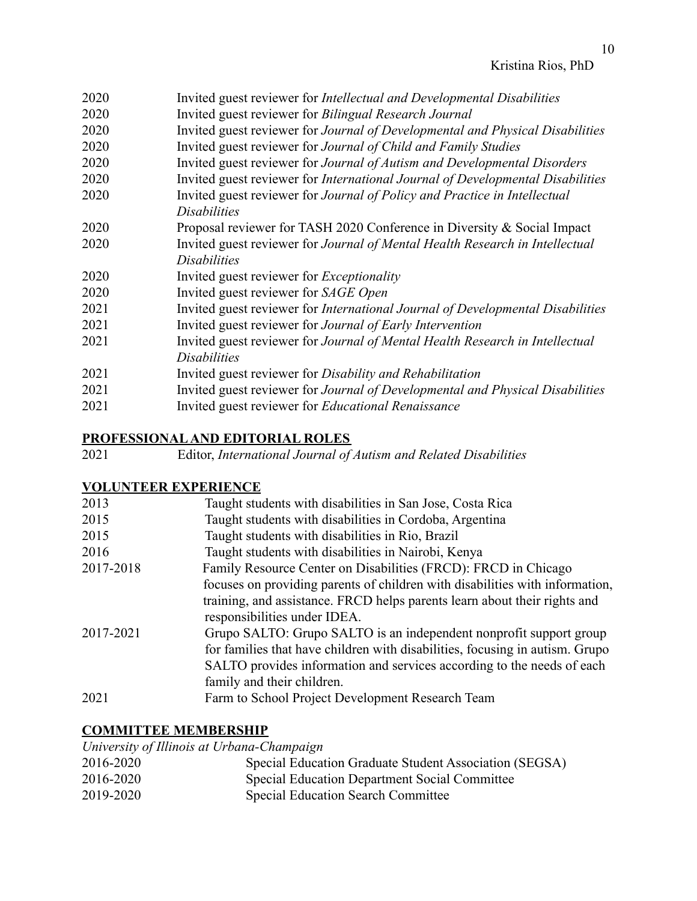| 2020 | Invited guest reviewer for <i>Intellectual and Developmental Disabilities</i>  |
|------|--------------------------------------------------------------------------------|
| 2020 | Invited guest reviewer for Bilingual Research Journal                          |
| 2020 | Invited guest reviewer for Journal of Developmental and Physical Disabilities  |
| 2020 | Invited guest reviewer for Journal of Child and Family Studies                 |
| 2020 | Invited guest reviewer for Journal of Autism and Developmental Disorders       |
| 2020 | Invited guest reviewer for International Journal of Developmental Disabilities |
| 2020 | Invited guest reviewer for Journal of Policy and Practice in Intellectual      |
|      | <i>Disabilities</i>                                                            |
| 2020 | Proposal reviewer for TASH 2020 Conference in Diversity & Social Impact        |
| 2020 | Invited guest reviewer for Journal of Mental Health Research in Intellectual   |
|      | <i>Disabilities</i>                                                            |
| 2020 | Invited guest reviewer for <i>Exceptionality</i>                               |
| 2020 | Invited guest reviewer for SAGE Open                                           |
| 2021 | Invited guest reviewer for International Journal of Developmental Disabilities |
| 2021 | Invited guest reviewer for Journal of Early Intervention                       |
| 2021 | Invited guest reviewer for Journal of Mental Health Research in Intellectual   |
|      | <b>Disabilities</b>                                                            |
| 2021 | Invited guest reviewer for Disability and Rehabilitation                       |
| 2021 | Invited guest reviewer for Journal of Developmental and Physical Disabilities  |
| 2021 | Invited guest reviewer for Educational Renaissance                             |
|      |                                                                                |

# **PROFESSIONAL AND EDITORIAL ROLES**

| 2021 |  |  |  | Editor, International Journal of Autism and Related Disabilities |
|------|--|--|--|------------------------------------------------------------------|
|------|--|--|--|------------------------------------------------------------------|

# **VOLUNTEER EXPERIENCE**

| 2013      | Taught students with disabilities in San Jose, Costa Rica                    |
|-----------|------------------------------------------------------------------------------|
| 2015      | Taught students with disabilities in Cordoba, Argentina                      |
| 2015      | Taught students with disabilities in Rio, Brazil                             |
| 2016      | Taught students with disabilities in Nairobi, Kenya                          |
| 2017-2018 | Family Resource Center on Disabilities (FRCD): FRCD in Chicago               |
|           | focuses on providing parents of children with disabilities with information, |
|           | training, and assistance. FRCD helps parents learn about their rights and    |
|           | responsibilities under IDEA.                                                 |
| 2017-2021 | Grupo SALTO: Grupo SALTO is an independent nonprofit support group           |
|           | for families that have children with disabilities, focusing in autism. Grupo |
|           | SALTO provides information and services according to the needs of each       |
|           | family and their children.                                                   |
| 2021      | Farm to School Project Development Research Team                             |

# **COMMITTEE MEMBERSHIP**

| University of Illinois at Urbana-Champaign |                                                        |
|--------------------------------------------|--------------------------------------------------------|
| 2016-2020                                  | Special Education Graduate Student Association (SEGSA) |
| 2016-2020                                  | Special Education Department Social Committee          |
| 2019-2020                                  | <b>Special Education Search Committee</b>              |